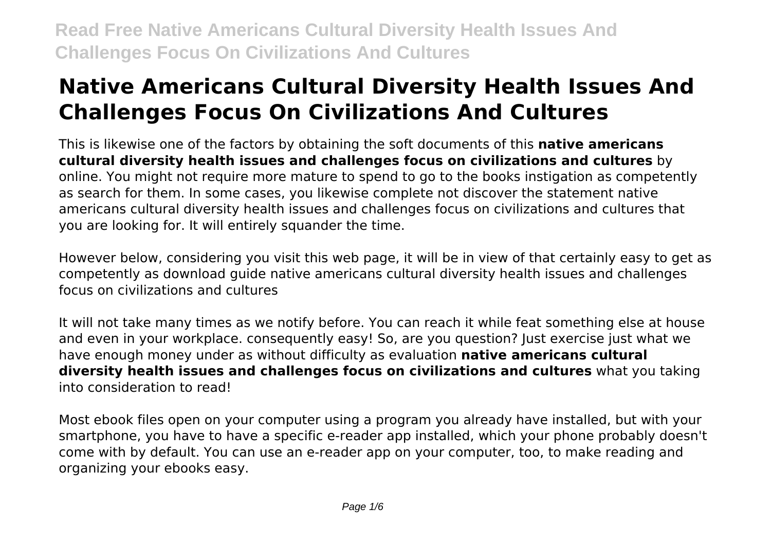# **Native Americans Cultural Diversity Health Issues And Challenges Focus On Civilizations And Cultures**

This is likewise one of the factors by obtaining the soft documents of this **native americans cultural diversity health issues and challenges focus on civilizations and cultures** by online. You might not require more mature to spend to go to the books instigation as competently as search for them. In some cases, you likewise complete not discover the statement native americans cultural diversity health issues and challenges focus on civilizations and cultures that you are looking for. It will entirely squander the time.

However below, considering you visit this web page, it will be in view of that certainly easy to get as competently as download guide native americans cultural diversity health issues and challenges focus on civilizations and cultures

It will not take many times as we notify before. You can reach it while feat something else at house and even in your workplace. consequently easy! So, are you question? Just exercise just what we have enough money under as without difficulty as evaluation **native americans cultural diversity health issues and challenges focus on civilizations and cultures** what you taking into consideration to read!

Most ebook files open on your computer using a program you already have installed, but with your smartphone, you have to have a specific e-reader app installed, which your phone probably doesn't come with by default. You can use an e-reader app on your computer, too, to make reading and organizing your ebooks easy.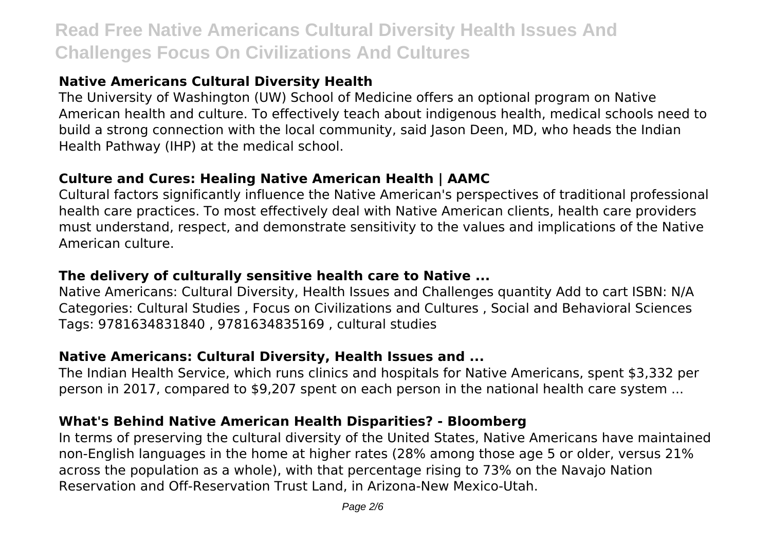# **Native Americans Cultural Diversity Health**

The University of Washington (UW) School of Medicine offers an optional program on Native American health and culture. To effectively teach about indigenous health, medical schools need to build a strong connection with the local community, said Jason Deen, MD, who heads the Indian Health Pathway (IHP) at the medical school.

# **Culture and Cures: Healing Native American Health | AAMC**

Cultural factors significantly influence the Native American's perspectives of traditional professional health care practices. To most effectively deal with Native American clients, health care providers must understand, respect, and demonstrate sensitivity to the values and implications of the Native American culture.

# **The delivery of culturally sensitive health care to Native ...**

Native Americans: Cultural Diversity, Health Issues and Challenges quantity Add to cart ISBN: N/A Categories: Cultural Studies , Focus on Civilizations and Cultures , Social and Behavioral Sciences Tags: 9781634831840 , 9781634835169 , cultural studies

# **Native Americans: Cultural Diversity, Health Issues and ...**

The Indian Health Service, which runs clinics and hospitals for Native Americans, spent \$3,332 per person in 2017, compared to \$9,207 spent on each person in the national health care system ...

# **What's Behind Native American Health Disparities? - Bloomberg**

In terms of preserving the cultural diversity of the United States, Native Americans have maintained non-English languages in the home at higher rates (28% among those age 5 or older, versus 21% across the population as a whole), with that percentage rising to 73% on the Navajo Nation Reservation and Off-Reservation Trust Land, in Arizona-New Mexico-Utah.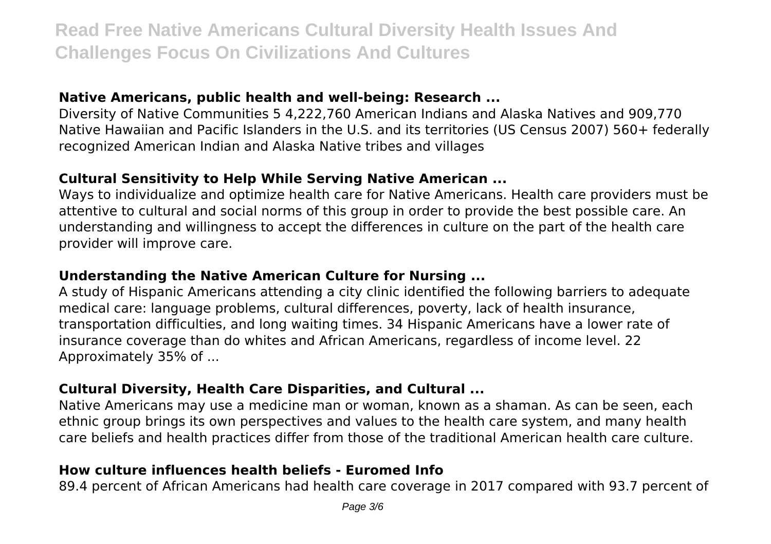## **Native Americans, public health and well-being: Research ...**

Diversity of Native Communities 5 4,222,760 American Indians and Alaska Natives and 909,770 Native Hawaiian and Pacific Islanders in the U.S. and its territories (US Census 2007) 560+ federally recognized American Indian and Alaska Native tribes and villages

#### **Cultural Sensitivity to Help While Serving Native American ...**

Ways to individualize and optimize health care for Native Americans. Health care providers must be attentive to cultural and social norms of this group in order to provide the best possible care. An understanding and willingness to accept the differences in culture on the part of the health care provider will improve care.

# **Understanding the Native American Culture for Nursing ...**

A study of Hispanic Americans attending a city clinic identified the following barriers to adequate medical care: language problems, cultural differences, poverty, lack of health insurance, transportation difficulties, and long waiting times. 34 Hispanic Americans have a lower rate of insurance coverage than do whites and African Americans, regardless of income level. 22 Approximately 35% of ...

# **Cultural Diversity, Health Care Disparities, and Cultural ...**

Native Americans may use a medicine man or woman, known as a shaman. As can be seen, each ethnic group brings its own perspectives and values to the health care system, and many health care beliefs and health practices differ from those of the traditional American health care culture.

# **How culture influences health beliefs - Euromed Info**

89.4 percent of African Americans had health care coverage in 2017 compared with 93.7 percent of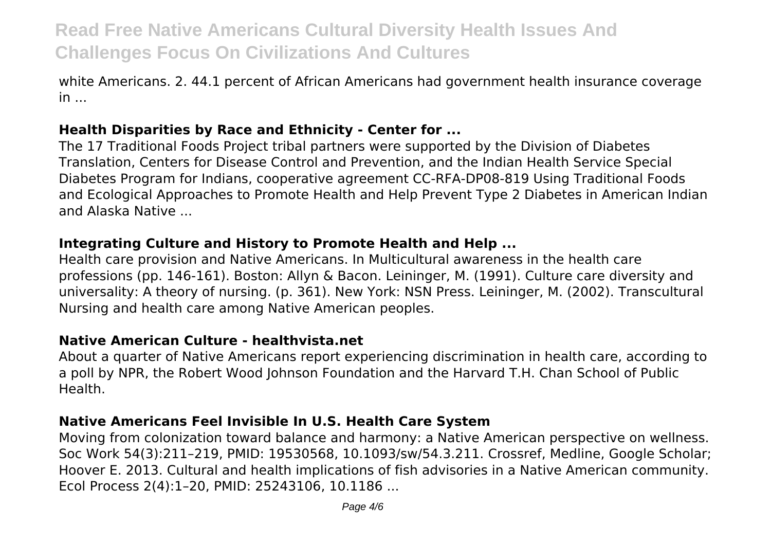white Americans. 2. 44.1 percent of African Americans had government health insurance coverage in ...

# **Health Disparities by Race and Ethnicity - Center for ...**

The 17 Traditional Foods Project tribal partners were supported by the Division of Diabetes Translation, Centers for Disease Control and Prevention, and the Indian Health Service Special Diabetes Program for Indians, cooperative agreement CC-RFA-DP08-819 Using Traditional Foods and Ecological Approaches to Promote Health and Help Prevent Type 2 Diabetes in American Indian and Alaska Native ...

#### **Integrating Culture and History to Promote Health and Help ...**

Health care provision and Native Americans. In Multicultural awareness in the health care professions (pp. 146-161). Boston: Allyn & Bacon. Leininger, M. (1991). Culture care diversity and universality: A theory of nursing. (p. 361). New York: NSN Press. Leininger, M. (2002). Transcultural Nursing and health care among Native American peoples.

#### **Native American Culture - healthvista.net**

About a quarter of Native Americans report experiencing discrimination in health care, according to a poll by NPR, the Robert Wood Johnson Foundation and the Harvard T.H. Chan School of Public Health.

## **Native Americans Feel Invisible In U.S. Health Care System**

Moving from colonization toward balance and harmony: a Native American perspective on wellness. Soc Work 54(3):211–219, PMID: 19530568, 10.1093/sw/54.3.211. Crossref, Medline, Google Scholar; Hoover E. 2013. Cultural and health implications of fish advisories in a Native American community. Ecol Process 2(4):1–20, PMID: 25243106, 10.1186 ...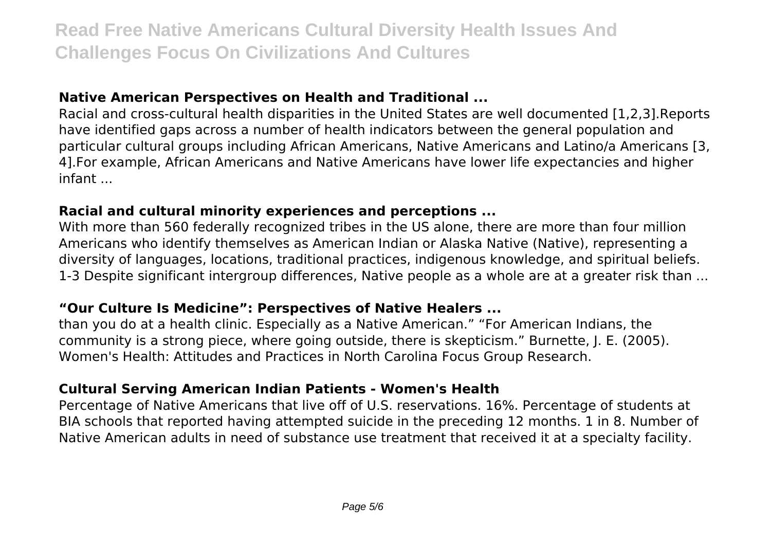# **Native American Perspectives on Health and Traditional ...**

Racial and cross-cultural health disparities in the United States are well documented [1,2,3].Reports have identified gaps across a number of health indicators between the general population and particular cultural groups including African Americans, Native Americans and Latino/a Americans [3, 4].For example, African Americans and Native Americans have lower life expectancies and higher infant ...

#### **Racial and cultural minority experiences and perceptions ...**

With more than 560 federally recognized tribes in the US alone, there are more than four million Americans who identify themselves as American Indian or Alaska Native (Native), representing a diversity of languages, locations, traditional practices, indigenous knowledge, and spiritual beliefs. 1-3 Despite significant intergroup differences, Native people as a whole are at a greater risk than ...

## **"Our Culture Is Medicine": Perspectives of Native Healers ...**

than you do at a health clinic. Especially as a Native American." "For American Indians, the community is a strong piece, where going outside, there is skepticism." Burnette, J. E. (2005). Women's Health: Attitudes and Practices in North Carolina Focus Group Research.

## **Cultural Serving American Indian Patients - Women's Health**

Percentage of Native Americans that live off of U.S. reservations. 16%. Percentage of students at BIA schools that reported having attempted suicide in the preceding 12 months. 1 in 8. Number of Native American adults in need of substance use treatment that received it at a specialty facility.